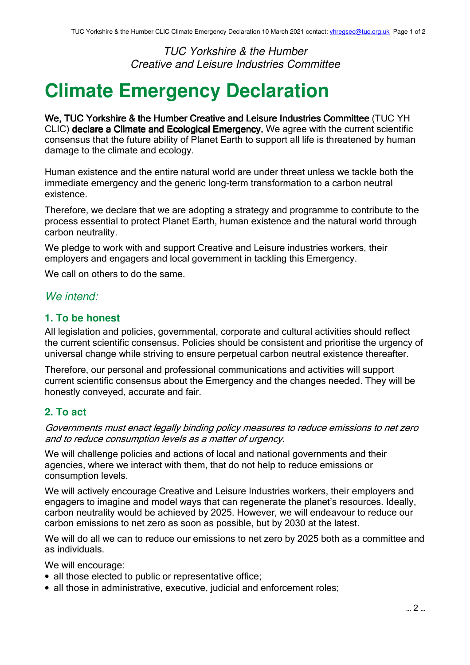TUC Yorkshire & the Humber Creative and Leisure Industries Committee

# **Climate Emergency Declaration**

We, TUC Yorkshire & the Humber Creative and Leisure Industries Committee (TUC YH CLIC) declare a Climate and Ecological Emergency. We agree with the current scientific consensus that the future ability of Planet Earth to support all life is threatened by human damage to the climate and ecology.

Human existence and the entire natural world are under threat unless we tackle both the immediate emergency and the generic long-term transformation to a carbon neutral existence.

Therefore, we declare that we are adopting a strategy and programme to contribute to the process essential to protect Planet Earth, human existence and the natural world through carbon neutrality.

We pledge to work with and support Creative and Leisure industries workers, their employers and engagers and local government in tackling this Emergency.

We call on others to do the same.

### We intend:

#### **1. To be honest**

All legislation and policies, governmental, corporate and cultural activities should reflect the current scientific consensus. Policies should be consistent and prioritise the urgency of universal change while striving to ensure perpetual carbon neutral existence thereafter.

Therefore, our personal and professional communications and activities will support current scientific consensus about the Emergency and the changes needed. They will be honestly conveyed, accurate and fair.

#### **2. To act**

Governments must enact legally binding policy measures to reduce emissions to net zero and to reduce consumption levels as a matter of urgency.

We will challenge policies and actions of local and national governments and their agencies, where we interact with them, that do not help to reduce emissions or consumption levels.

We will actively encourage Creative and Leisure Industries workers, their employers and engagers to imagine and model ways that can regenerate the planet's resources. Ideally, carbon neutrality would be achieved by 2025. However, we will endeavour to reduce our carbon emissions to net zero as soon as possible, but by 2030 at the latest.

We will do all we can to reduce our emissions to net zero by 2025 both as a committee and as individuals.

We will encourage:

- all those elected to public or representative office;
- all those in administrative, executive, judicial and enforcement roles;